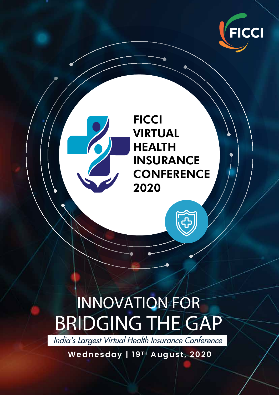

#### **FICCI** VIRTUAL HEALTH INSURANCE **CONFERENCE** 2020

# INNOVATION FOR BRIDGING THE GAP

India's Largest Virtual Health Insurance Conference

Wednesday | 19<sup>TH</sup> August, 2020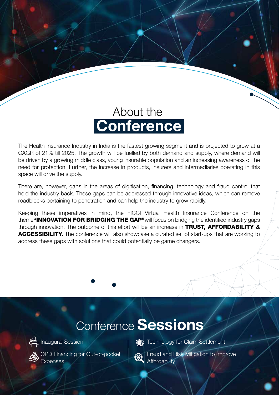

The Health Insurance Industry in India is the fastest growing segment and is projected to grow at a CAGR of 21% till 2025. The growth will be fuelled by both demand and supply, where demand will be driven by a growing middle class, young insurable population and an increasing awareness of the need for protection. Further, the increase in products, insurers and intermediaries operating in this space will drive the supply.

There are, however, gaps in the areas of digitisation, financing, technology and fraud control that hold the industry back. These gaps can be addressed through innovative ideas, which can remove roadblocks pertaining to penetration and can help the industry to grow rapidly.

Keeping these imperatives in mind, the FICCI Virtual Health Insurance Conference on the theme"INNOVATION FOR BRIDGING THE GAP"will focus on bridging the identified industry gaps through innovation. The outcome of this effort will be an increase in TRUST, AFFORDABILITY & ACCESSIBILITY. The conference will also showcase a curated set of start-ups that are working to address these gaps with solutions that could potentially be game changers.

#### Conference Sessions



Inaugural Session

Expenses

OPD Financing for Out-of-pocket

**Technology for Claim Settlement** 

Fraud and Risk Mitigation to Improve **Affordability**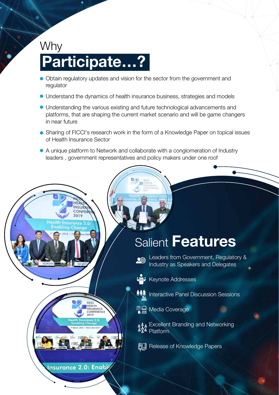### Why Participate…?

- Obtain regulatory updates and vision for the sector from the government and regulator
- Understand the dynamics of health insurance business, strategies and models
- Understanding the various existing and future technological advancements and platforms, that are shaping the current market scenario and will be game changers in near future
- Sharing of FICCI's research work in the form of a Knowledge Paper on topical issues of Health Insurance Sector
- A unique platform to Network and collaborate with a conglomeration of Industry leaders , government representatives and policy makers under one roof

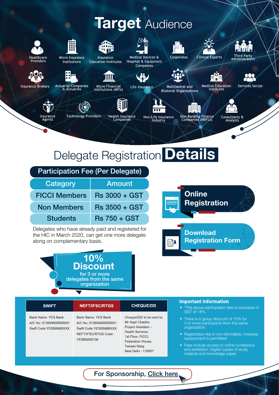#### **Target Audience**



roviders



Institutions



Insurance **Education Institutes** 

Ш



Hospital & Equipment Companies

Life Insurance



Multilateral and

**Bilateral Organizations** 



⊞<mark>Ú</mark>

Medical Education<br>Institutes





Services Sector

**Insurance Brokers** 



Insurance<br>Agents

Actuarial Companies<br>& Actuaries

**Technology Providers** 



Health Insurance<br>Companies



Non-Banking Finance<br>Companies (NBFCs)



#### Delegate Registration Details

| <b>Participation Fee (Per Delegate)</b> |                      |
|-----------------------------------------|----------------------|
| Category                                | <b>Amount</b>        |
| <b>FICCI Members</b>                    | <b>Rs 3000 + GST</b> |
| <b>Non Members</b>                      | <b>Rs 3500 + GST</b> |
| <b>Students</b>                         | <b>Rs 750 + GST</b>  |

Delegates who have already paid and registered for the HIC in March 2020, can get one more delegate along on complementary basis.





#### **Important Information SWIFT CHEQUE/DD NEFT/IFSC/RTGS** \*The above participation fees is exclusive of GST of 18%. Bank Name: YES Bank Bank Name: YES Bank Cheque/DD/ to be sent to: • There is a group discount of 10% for A/C No: 013694600000041 A/C No: 013694600000041 Mr Kapil Chadha 3 or more participants from the same Project Assistantorganization. Swift Code: YESBINBBXXX Swift Code YESBINBBXXX **Health Services** NEFT/IFSC/RTGS Code: • Registration fee is non refundable, however, 1st Floor, FICCI, replacement is permitted. YESB0000136 Federation House, Tansen Marg • Fees include access to online conference and exhibition. Digital copies of study New Delhi - 110001 material and knowledge paper.

#### For Sponsorship, Click here